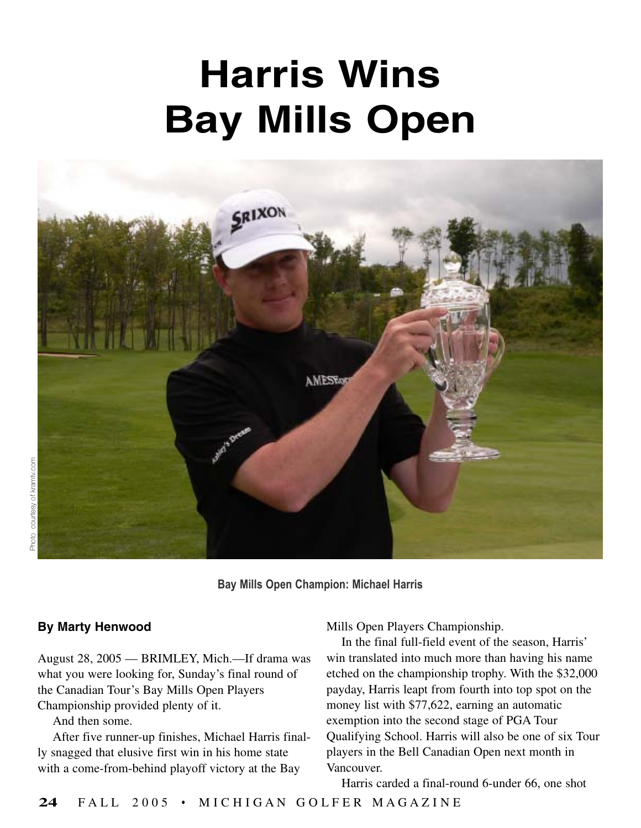## **Harris Wins Bay Mills Open**



**Bay Mills Open Champion: Michael Harris**

## **By Marty Henwood**

August 28, 2005 — BRIMLEY, Mich.—If drama was what you were looking for, Sunday's final round of the Canadian Tour's Bay Mills Open Players Championship provided plenty of it.

And then some.

After five runner-up finishes, Michael Harris finally snagged that elusive first win in his home state with a come-from-behind playoff victory at the Bay

Mills Open Players Championship.

In the final full-field event of the season, Harris' win translated into much more than having his name etched on the championship trophy. With the \$32,000 payday, Harris leapt from fourth into top spot on the money list with \$77,622, earning an automatic exemption into the second stage of PGA Tour Qualifying School. Harris will also be one of six Tour players in the Bell Canadian Open next month in Vancouver.

Harris carded a final-round 6-under 66, one shot